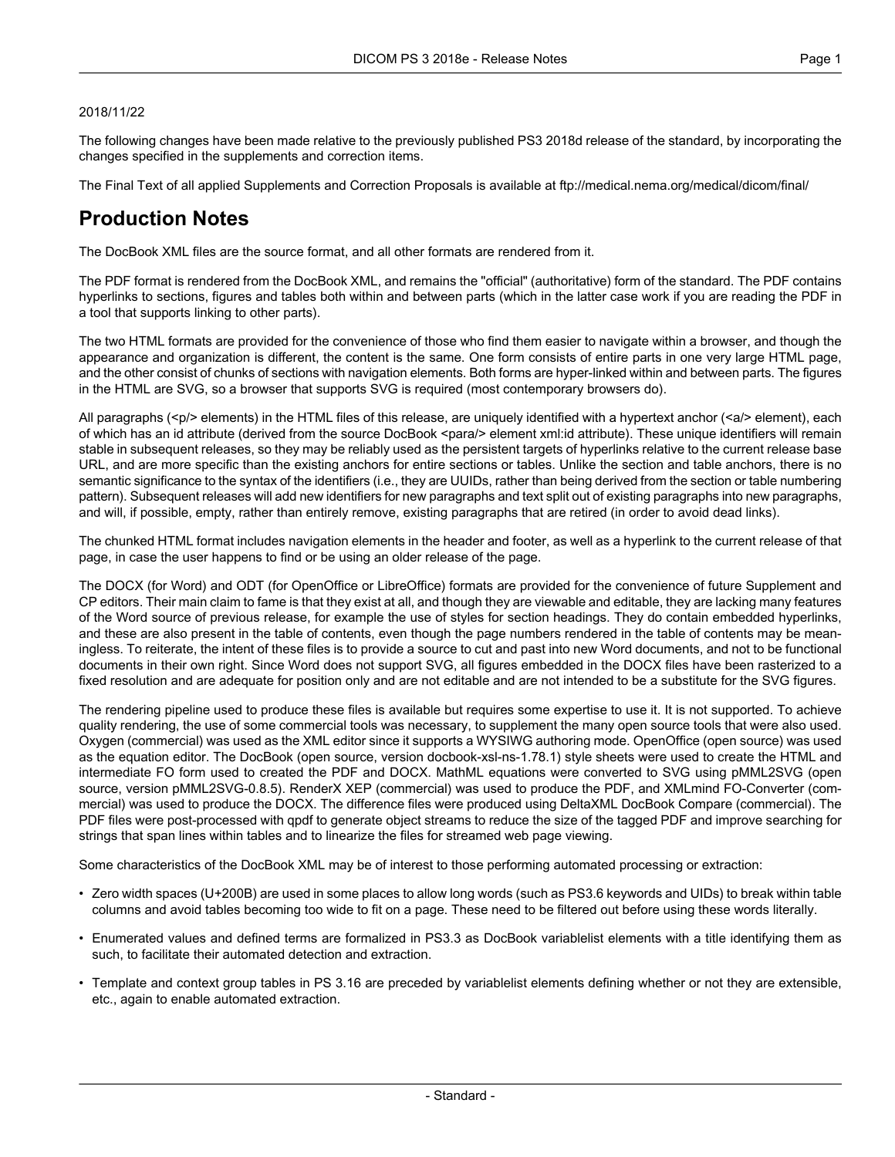#### 2018/11/22

The following changes have been made relative to the previously published PS3 2018d release of the standard, by incorporating the changes specified in the supplements and correction items.

The Final Text of all applied Supplements and Correction Proposals is available at <ftp://medical.nema.org/medical/dicom/final/>

# **Production Notes**

The DocBook XML files are the source format, and all other formats are rendered from it.

The PDF format is rendered from the DocBook XML, and remains the "official" (authoritative) form of the standard. The PDF contains hyperlinks to sections, figures and tables both within and between parts (which in the latter case work if you are reading the PDF in a tool that supports linking to other parts).

The two HTML formats are provided for the convenience of those who find them easier to navigate within a browser, and though the appearance and organization is different, the content is the same. One form consists of entire parts in one very large HTML page, and the other consist of chunks of sections with navigation elements. Both forms are hyper-linked within and between parts. The figures in the HTML are SVG, so a browser that supports SVG is required (most contemporary browsers do).

All paragraphs (<p/> elements) in the HTML files of this release, are uniquely identified with a hypertext anchor (<a/><a/>> element), each of which has an id attribute (derived from the source DocBook <para/> element xml:id attribute). These unique identifiers will remain stable in subsequent releases, so they may be reliably used as the persistent targets of hyperlinks relative to the current release base URL, and are more specific than the existing anchors for entire sections or tables. Unlike the section and table anchors, there is no semantic significance to the syntax of the identifiers (i.e., they are UUIDs, rather than being derived from the section or table numbering pattern). Subsequent releases will add new identifiers for new paragraphs and text split out of existing paragraphs into new paragraphs, and will, if possible, empty, rather than entirely remove, existing paragraphs that are retired (in order to avoid dead links).

The chunked HTML format includes navigation elements in the header and footer, as well as a hyperlink to the current release of that page, in case the user happens to find or be using an older release of the page.

The DOCX (for Word) and ODT (for OpenOffice or LibreOffice) formats are provided for the convenience of future Supplement and CP editors. Their main claim to fame is that they exist at all, and though they are viewable and editable, they are lacking many features of the Word source of previous release, for example the use of styles for section headings. They do contain embedded hyperlinks, and these are also present in the table of contents, even though the page numbers rendered in the table of contents may be mean ingless. To reiterate, the intent of these files is to provide a source to cut and past into new Word documents, and not to be functional documents in their own right. Since Word does not support SVG, all figures embedded in the DOCX files have been rasterized to a fixed resolution and are adequate for position only and are not editable and are not intended to be a substitute for the SVG figures.

The rendering pipeline used to produce these files is available but requires some expertise to use it. It is not supported. To achieve quality rendering, the use of some commercial tools was necessary, to supplement the many open source tools that were also used. Oxygen (commercial) was used as the XML editor since it supports a WYSIWG authoring mode. OpenOffice (open source) was used as the equation editor. The DocBook (open source, version docbook-xsl-ns-1.78.1) style sheets were used to create the HTML and intermediate FO form used to created the PDF and DOCX. MathML equations were converted to SVG using pMML2SVG (open source, version pMML2SVG-0.8.5). RenderX XEP (commercial) was used to produce the PDF, and XMLmind FO-Converter (com mercial) was used to produce the DOCX. The difference files were produced using DeltaXML DocBook Compare (commercial). The PDF files were post-processed with qpdf to generate object streams to reduce the size of the tagged PDF and improve searching for strings that span lines within tables and to linearize the files for streamed web page viewing.

Some characteristics of the DocBook XML may be of interest to those performing automated processing or extraction:

- Zero width spaces (U+200B) are used in some places to allow long words (such as PS3.6 keywords and UIDs) to break within table columns and avoid tables becoming too wide to fit on a page. These need to be filtered out before using these words literally.
- Enumerated values and defined terms are formalized in PS3.3 as DocBook variablelist elements with a title identifying them as such, to facilitate their automated detection and extraction.
- Template and context group tables in PS 3.16 are preceded by variablelist elements defining whether or not they are extensible, etc., again to enable automated extraction.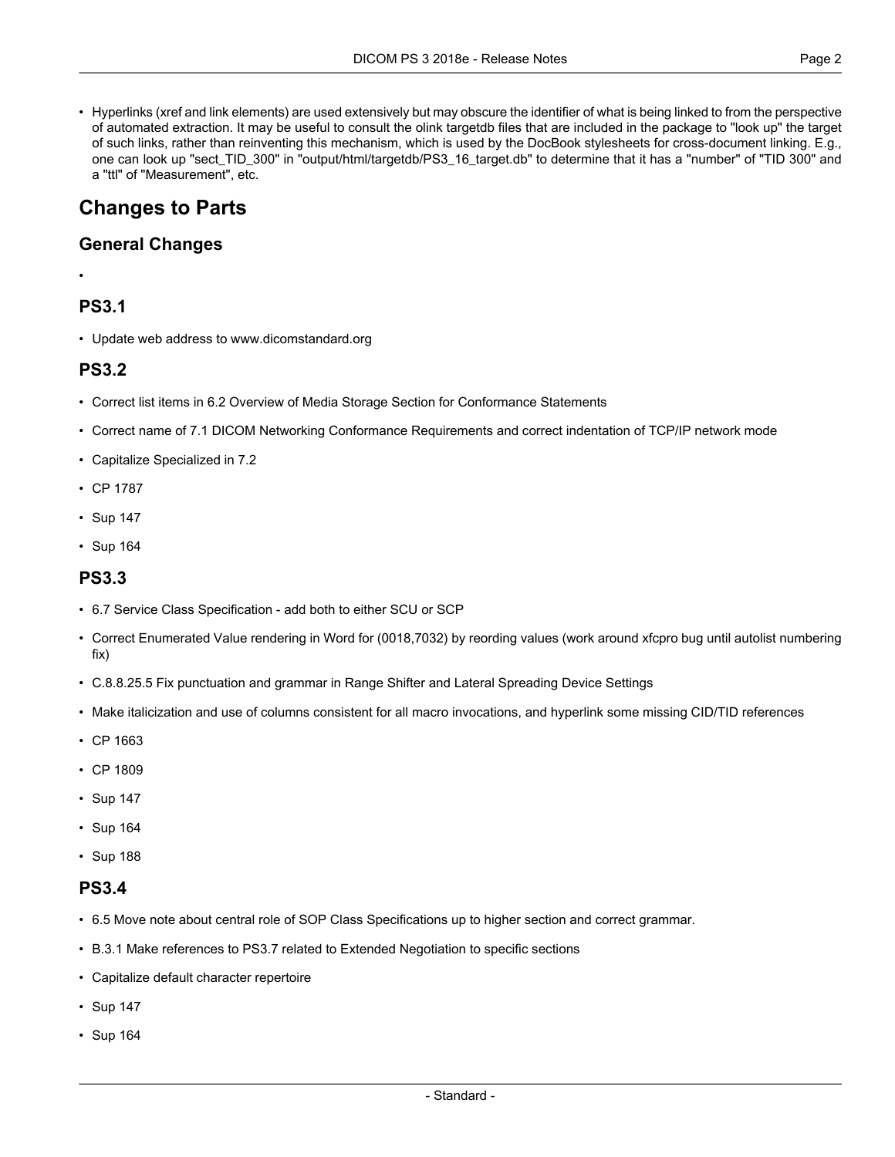• Hyperlinks (xref and link elements) are used extensively but may obscure the identifier of what is being linked to from the perspective of automated extraction. It may be useful to consult the olink targetdb files that are included in the package to "look up" the target of such links, rather than reinventing this mechanism, which is used by the DocBook stylesheets for cross-document linking. E.g., one can look up "sect\_TID\_300" in "output/html/targetdb/PS3\_16\_target.db" to determine that it has a "number" of "TID 300" and a "ttl" of "Measurement", etc.

# **Changes to Parts**

### **General Changes**

#### •

### **PS3.1**

• Update web address to www.dicomstandard.org

### **PS3.2**

- Correct list items in 6.2 Overview of Media Storage Section for Conformance Statements
- Correct name of 7.1 DICOM Networking Conformance Requirements and correct indentation of TCP/IP network mode
- Capitalize Specialized in 7.2
- CP [1787](#page-4-0)
- [Sup](#page-4-1) 147
- [Sup](#page-4-2) 164

### **PS3.3**

- 6.7 Service Class Specification add both to either SCU or SCP
- Correct Enumerated Value rendering in Word for (0018,7032) by reording values (work around xfcpro bug until autolist numbering fix)
- C.8.8.25.5 Fix punctuation and grammar in Range Shifter and Lateral Spreading Device Settings
- Make italicization and use of columns consistent for all macro invocations, and hyperlink some missing CID/TID references
- CP [1663](#page-4-3)
- CP [1809](#page-4-4)
- [Sup](#page-4-1) 147
- [Sup](#page-4-2) 164
- [Sup](#page-4-5) 188

### **PS3.4**

- 6.5 Move note about central role of SOP Class Specifications up to higher section and correct grammar.
- B.3.1 Make references to PS3.7 related to Extended Negotiation to specific sections
- Capitalize default character repertoire
- [Sup](#page-4-1) 147
- [Sup](#page-4-2) 164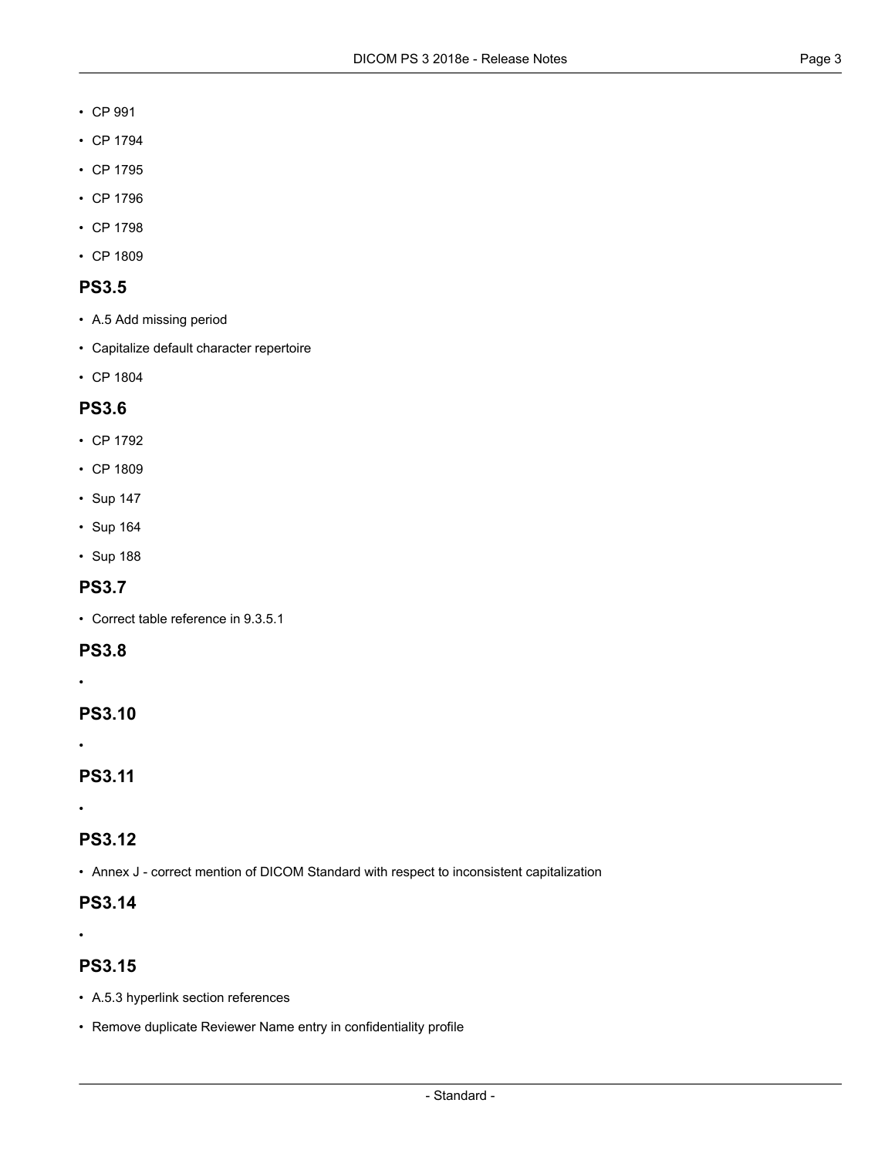- CP [991](#page-4-6)
- CP [1794](#page-4-7)
- CP [1795](#page-4-8)
- CP [1796](#page-4-9)
- CP [1798](#page-4-10)
- CP [1809](#page-4-4)

### **PS3.5**

- A.5 Add missing period
- Capitalize default character repertoire
- CP [1804](#page-4-11)

### **PS3.6**

- CP [1792](#page-4-12)
- CP [1809](#page-4-4)
- [Sup](#page-4-1) 147
- [Sup](#page-4-2) 164
- [Sup](#page-4-5) 188

### **PS3.7**

• Correct table reference in 9.3.5.1

#### **PS3.8**

•

## **PS3.10**

•

### **PS3.11**

•

### **PS3.12**

• Annex J - correct mention of DICOM Standard with respect to inconsistent capitalization

## **PS3.14**

•

### **PS3.15**

- A.5.3 hyperlink section references
- Remove duplicate Reviewer Name entry in confidentiality profile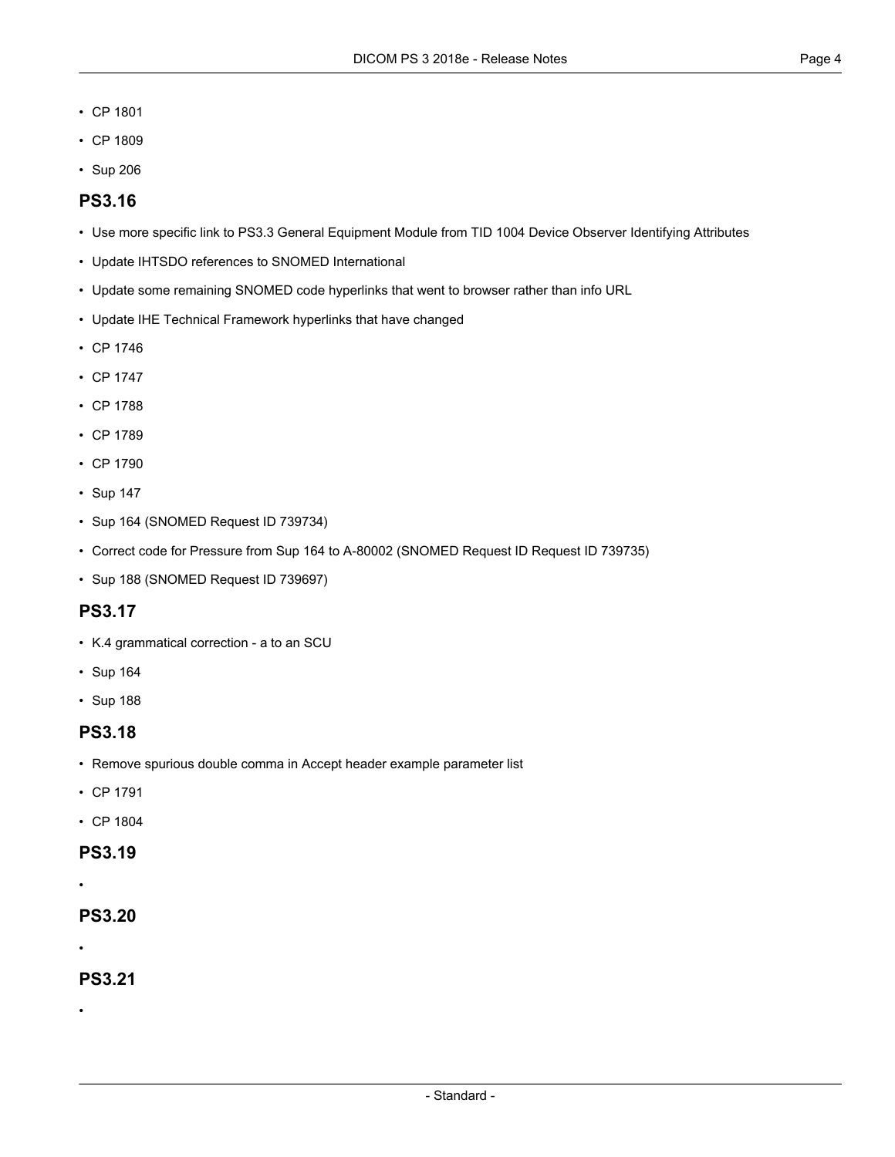- CP [1801](#page-4-13)
- CP [1809](#page-4-4)
- [Sup](#page-4-14) 206

### **PS3.16**

- Use more specific link to PS3.3 General Equipment Module from TID 1004 Device Observer Identifying Attributes
- Update IHTSDO references to SNOMED International
- Update some remaining SNOMED code hyperlinks that went to browser rather than info URL
- Update IHE Technical Framework hyperlinks that have changed
- CP [1746](#page-4-15)
- CP [1747](#page-4-16)
- CP [1788](#page-4-17)
- CP [1789](#page-4-18)
- CP [1790](#page-4-19)
- [Sup](#page-4-1) 147
- [Sup](#page-4-2) 164 (SNOMED Request ID 739734)
- Correct code for Pressure from Sup 164 to A-80002 (SNOMED Request ID Request ID 739735)
- [Sup](#page-4-5) 188 (SNOMED Request ID 739697)

### **PS3.17**

- K.4 grammatical correction a to an SCU
- [Sup](#page-4-2) 164
- [Sup](#page-4-5) 188

#### **PS3.18**

- Remove spurious double comma in Accept header example parameter list
- CP [1791](#page-4-20)
- CP [1804](#page-4-11)

### **PS3.19**

•

**PS3.20**

•

•

### **PS3.21**